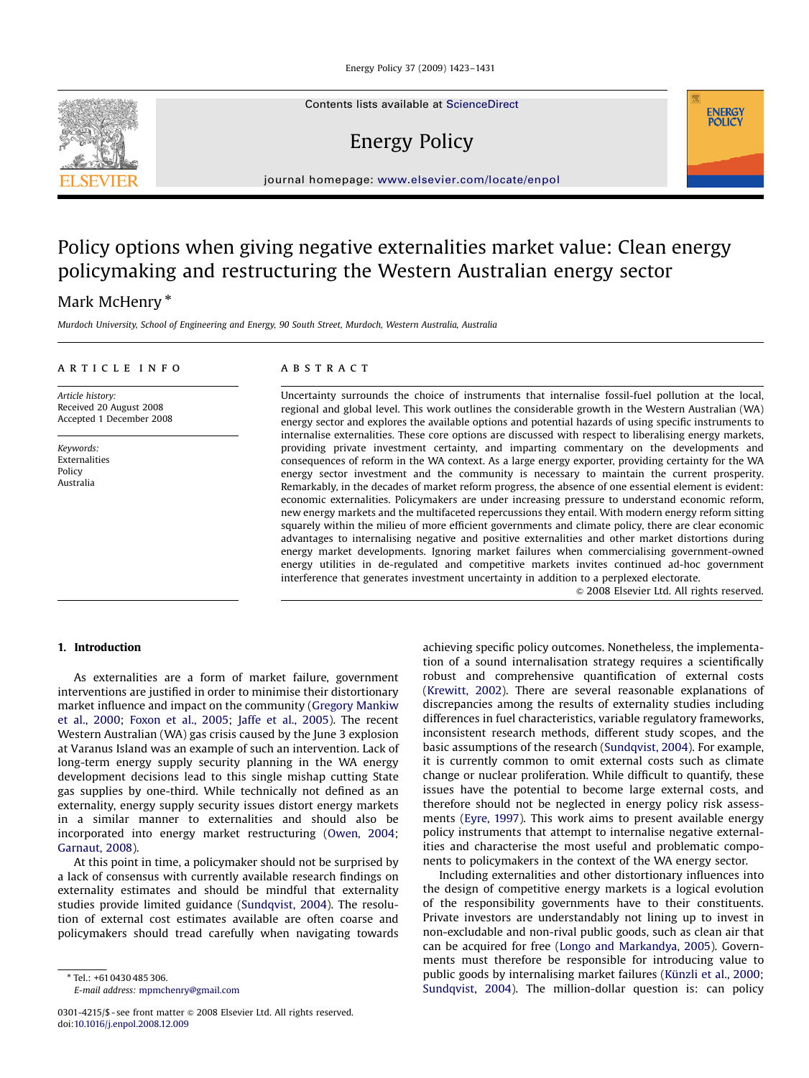Energy Policy 37 (2009) 1423–1431

Contents lists available at [ScienceDirect](www.sciencedirect.com/science/journal/jepo)

Energy Policy

journal homepage: <www.elsevier.com/locate/enpol>

## Policy options when giving negative externalities market value: Clean energy policymaking and restructuring the Western Australian energy sector

### Mark McHenry<sup>\*</sup>

Murdoch University, School of Engineering and Energy, 90 South Street, Murdoch, Western Australia, Australia

#### article info

Article history: Received 20 August 2008 Accepted 1 December 2008

Keywords: Externalities Policy Australia

#### abstract

Uncertainty surrounds the choice of instruments that internalise fossil-fuel pollution at the local, regional and global level. This work outlines the considerable growth in the Western Australian (WA) energy sector and explores the available options and potential hazards of using specific instruments to internalise externalities. These core options are discussed with respect to liberalising energy markets, providing private investment certainty, and imparting commentary on the developments and consequences of reform in the WA context. As a large energy exporter, providing certainty for the WA energy sector investment and the community is necessary to maintain the current prosperity. Remarkably, in the decades of market reform progress, the absence of one essential element is evident: economic externalities. Policymakers are under increasing pressure to understand economic reform, new energy markets and the multifaceted repercussions they entail. With modern energy reform sitting squarely within the milieu of more efficient governments and climate policy, there are clear economic advantages to internalising negative and positive externalities and other market distortions during energy market developments. Ignoring market failures when commercialising government-owned energy utilities in de-regulated and competitive markets invites continued ad-hoc government interference that generates investment uncertainty in addition to a perplexed electorate.

 $\odot$  2008 Elsevier Ltd. All rights reserved.

### 1. Introduction

As externalities are a form of market failure, government interventions are justified in order to minimise their distortionary market influence and impact on the community ([Gregory Mankiw](#page--1-0) [et al., 2000;](#page--1-0) [Foxon et al., 2005](#page--1-0); [Jaffe et al., 2005](#page--1-0)). The recent Western Australian (WA) gas crisis caused by the June 3 explosion at Varanus Island was an example of such an intervention. Lack of long-term energy supply security planning in the WA energy development decisions lead to this single mishap cutting State gas supplies by one-third. While technically not defined as an externality, energy supply security issues distort energy markets in a similar manner to externalities and should also be incorporated into energy market restructuring [\(Owen, 2004;](#page--1-0) [Garnaut, 2008\)](#page--1-0).

At this point in time, a policymaker should not be surprised by a lack of consensus with currently available research findings on externality estimates and should be mindful that externality studies provide limited guidance ([Sundqvist, 2004\)](#page--1-0). The resolution of external cost estimates available are often coarse and policymakers should tread carefully when navigating towards

E-mail address: [mpmchenry@gmail.com](mailto:mpmchenry@gmail.com)

achieving specific policy outcomes. Nonetheless, the implementation of a sound internalisation strategy requires a scientifically robust and comprehensive quantification of external costs ([Krewitt, 2002\)](#page--1-0). There are several reasonable explanations of discrepancies among the results of externality studies including differences in fuel characteristics, variable regulatory frameworks, inconsistent research methods, different study scopes, and the basic assumptions of the research [\(Sundqvist, 2004\)](#page--1-0). For example, it is currently common to omit external costs such as climate change or nuclear proliferation. While difficult to quantify, these issues have the potential to become large external costs, and therefore should not be neglected in energy policy risk assessments [\(Eyre, 1997](#page--1-0)). This work aims to present available energy policy instruments that attempt to internalise negative externalities and characterise the most useful and problematic components to policymakers in the context of the WA energy sector.

Including externalities and other distortionary influences into the design of competitive energy markets is a logical evolution of the responsibility governments have to their constituents. Private investors are understandably not lining up to invest in non-excludable and non-rival public goods, such as clean air that can be acquired for free [\(Longo and Markandya, 2005](#page--1-0)). Governments must therefore be responsible for introducing value to public goods by internalising market failures (Künzli et al., 2000; [Sundqvist, 2004\)](#page--1-0). The million-dollar question is: can policy



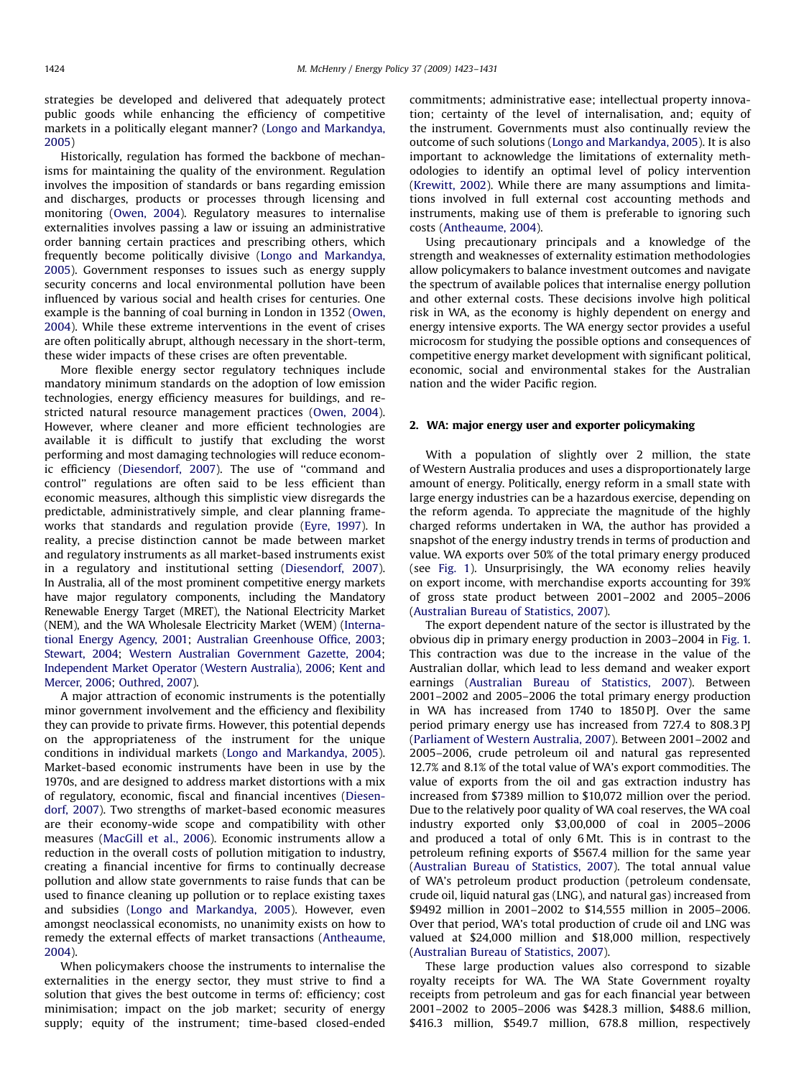strategies be developed and delivered that adequately protect public goods while enhancing the efficiency of competitive markets in a politically elegant manner? [\(Longo and Markandya,](#page--1-0) [2005](#page--1-0))

Historically, regulation has formed the backbone of mechanisms for maintaining the quality of the environment. Regulation involves the imposition of standards or bans regarding emission and discharges, products or processes through licensing and monitoring ([Owen, 2004\)](#page--1-0). Regulatory measures to internalise externalities involves passing a law or issuing an administrative order banning certain practices and prescribing others, which frequently become politically divisive ([Longo and Markandya,](#page--1-0) [2005](#page--1-0)). Government responses to issues such as energy supply security concerns and local environmental pollution have been influenced by various social and health crises for centuries. One example is the banning of coal burning in London in 1352 ([Owen,](#page--1-0) [2004](#page--1-0)). While these extreme interventions in the event of crises are often politically abrupt, although necessary in the short-term, these wider impacts of these crises are often preventable.

More flexible energy sector regulatory techniques include mandatory minimum standards on the adoption of low emission technologies, energy efficiency measures for buildings, and restricted natural resource management practices ([Owen, 2004\)](#page--1-0). However, where cleaner and more efficient technologies are available it is difficult to justify that excluding the worst performing and most damaging technologies will reduce economic efficiency [\(Diesendorf, 2007\)](#page--1-0). The use of ''command and control'' regulations are often said to be less efficient than economic measures, although this simplistic view disregards the predictable, administratively simple, and clear planning frameworks that standards and regulation provide [\(Eyre, 1997](#page--1-0)). In reality, a precise distinction cannot be made between market and regulatory instruments as all market-based instruments exist in a regulatory and institutional setting [\(Diesendorf, 2007\)](#page--1-0). In Australia, all of the most prominent competitive energy markets have major regulatory components, including the Mandatory Renewable Energy Target (MRET), the National Electricity Market (NEM), and the WA Wholesale Electricity Market (WEM) ([Interna](#page--1-0)[tional Energy Agency, 2001](#page--1-0); [Australian Greenhouse Office, 2003;](#page--1-0) [Stewart, 2004](#page--1-0); [Western Australian Government Gazette, 2004;](#page--1-0) [Independent Market Operator \(Western Australia\), 2006](#page--1-0); [Kent and](#page--1-0) [Mercer, 2006](#page--1-0); [Outhred, 2007\)](#page--1-0).

A major attraction of economic instruments is the potentially minor government involvement and the efficiency and flexibility they can provide to private firms. However, this potential depends on the appropriateness of the instrument for the unique conditions in individual markets ([Longo and Markandya, 2005\)](#page--1-0). Market-based economic instruments have been in use by the 1970s, and are designed to address market distortions with a mix of regulatory, economic, fiscal and financial incentives ([Diesen](#page--1-0)[dorf, 2007](#page--1-0)). Two strengths of market-based economic measures are their economy-wide scope and compatibility with other measures [\(MacGill et al., 2006\)](#page--1-0). Economic instruments allow a reduction in the overall costs of pollution mitigation to industry, creating a financial incentive for firms to continually decrease pollution and allow state governments to raise funds that can be used to finance cleaning up pollution or to replace existing taxes and subsidies [\(Longo and Markandya, 2005](#page--1-0)). However, even amongst neoclassical economists, no unanimity exists on how to remedy the external effects of market transactions ([Antheaume,](#page--1-0) [2004](#page--1-0)).

When policymakers choose the instruments to internalise the externalities in the energy sector, they must strive to find a solution that gives the best outcome in terms of: efficiency; cost minimisation; impact on the job market; security of energy supply; equity of the instrument; time-based closed-ended commitments; administrative ease; intellectual property innovation; certainty of the level of internalisation, and; equity of the instrument. Governments must also continually review the outcome of such solutions ([Longo and Markandya, 2005](#page--1-0)). It is also important to acknowledge the limitations of externality methodologies to identify an optimal level of policy intervention ([Krewitt, 2002](#page--1-0)). While there are many assumptions and limitations involved in full external cost accounting methods and instruments, making use of them is preferable to ignoring such costs ([Antheaume, 2004\)](#page--1-0).

Using precautionary principals and a knowledge of the strength and weaknesses of externality estimation methodologies allow policymakers to balance investment outcomes and navigate the spectrum of available polices that internalise energy pollution and other external costs. These decisions involve high political risk in WA, as the economy is highly dependent on energy and energy intensive exports. The WA energy sector provides a useful microcosm for studying the possible options and consequences of competitive energy market development with significant political, economic, social and environmental stakes for the Australian nation and the wider Pacific region.

#### 2. WA: major energy user and exporter policymaking

With a population of slightly over 2 million, the state of Western Australia produces and uses a disproportionately large amount of energy. Politically, energy reform in a small state with large energy industries can be a hazardous exercise, depending on the reform agenda. To appreciate the magnitude of the highly charged reforms undertaken in WA, the author has provided a snapshot of the energy industry trends in terms of production and value. WA exports over 50% of the total primary energy produced (see [Fig. 1](#page--1-0)). Unsurprisingly, the WA economy relies heavily on export income, with merchandise exports accounting for 39% of gross state product between 2001–2002 and 2005–2006 ([Australian Bureau of Statistics, 2007](#page--1-0)).

The export dependent nature of the sector is illustrated by the obvious dip in primary energy production in 2003–2004 in [Fig. 1.](#page--1-0) This contraction was due to the increase in the value of the Australian dollar, which lead to less demand and weaker export earnings ([Australian Bureau of Statistics, 2007\)](#page--1-0). Between 2001–2002 and 2005–2006 the total primary energy production in WA has increased from 1740 to 1850 PJ. Over the same period primary energy use has increased from 727.4 to 808.3 PJ ([Parliament of Western Australia, 2007](#page--1-0)). Between 2001–2002 and 2005–2006, crude petroleum oil and natural gas represented 12.7% and 8.1% of the total value of WA's export commodities. The value of exports from the oil and gas extraction industry has increased from \$7389 million to \$10,072 million over the period. Due to the relatively poor quality of WA coal reserves, the WA coal industry exported only \$3,00,000 of coal in 2005–2006 and produced a total of only 6 Mt. This is in contrast to the petroleum refining exports of \$567.4 million for the same year ([Australian Bureau of Statistics, 2007\)](#page--1-0). The total annual value of WA's petroleum product production (petroleum condensate, crude oil, liquid natural gas (LNG), and natural gas) increased from \$9492 million in 2001–2002 to \$14,555 million in 2005–2006. Over that period, WA's total production of crude oil and LNG was valued at \$24,000 million and \$18,000 million, respectively ([Australian Bureau of Statistics, 2007](#page--1-0)).

These large production values also correspond to sizable royalty receipts for WA. The WA State Government royalty receipts from petroleum and gas for each financial year between 2001–2002 to 2005–2006 was \$428.3 million, \$488.6 million, \$416.3 million, \$549.7 million, 678.8 million, respectively